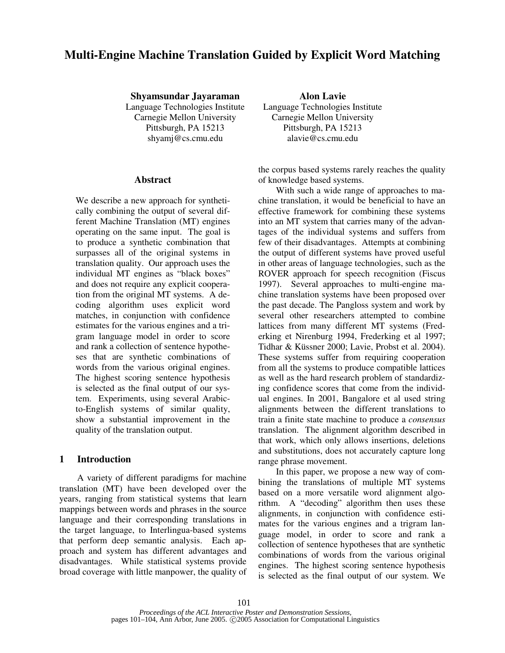# **Multi-Engine Machine Translation Guided by Explicit Word Matching**

**Shyamsundar Jayaraman Alon Lavie**

Language Technologies Institute Language Technologies Institute Carnegie Mellon University Carnegie Mellon University Pittsburgh, PA 15213 Pittsburgh, PA 15213 shyamj@cs.cmu.edu alavie@cs.cmu.edu

#### **Abstract**

We describe a new approach for synthetically combining the output of several different Machine Translation (MT) engines operating on the same input. The goal is to produce a synthetic combination that surpasses all of the original systems in translation quality. Our approach uses the individual MT engines as "black boxes" and does not require any explicit cooperation from the original MT systems. A decoding algorithm uses explicit word matches, in conjunction with confidence estimates for the various engines and a trigram language model in order to score and rank a collection of sentence hypotheses that are synthetic combinations of words from the various original engines. The highest scoring sentence hypothesis is selected as the final output of our system. Experiments, using several Arabicto-English systems of similar quality, show a substantial improvement in the quality of the translation output.

## **1 Introduction**

A variety of different paradigms for machine translation (MT) have been developed over the years, ranging from statistical systems that learn mappings between words and phrases in the source language and their corresponding translations in the target language, to Interlingua-based systems that perform deep semantic analysis. Each approach and system has different advantages and disadvantages. While statistical systems provide broad coverage with little manpower, the quality of

the corpus based systems rarely reaches the quality of knowledge based systems.

With such a wide range of approaches to machine translation, it would be beneficial to have an effective framework for combining these systems into an MT system that carries many of the advantages of the individual systems and suffers from few of their disadvantages. Attempts at combining the output of different systems have proved useful in other areas of language technologies, such as the ROVER approach for speech recognition (Fiscus 1997). Several approaches to multi-engine machine translation systems have been proposed over the past decade. The Pangloss system and work by several other researchers attempted to combine lattices from many different MT systems (Frederking et Nirenburg 1994, Frederking et al 1997; Tidhar & Küssner 2000; Lavie, Probst et al. 2004). These systems suffer from requiring cooperation from all the systems to produce compatible lattices as well as the hard research problem of standardizing confidence scores that come from the individual engines. In 2001, Bangalore et al used string alignments between the different translations to train a finite state machine to produce a *consensus* translation. The alignment algorithm described in that work, which only allows insertions, deletions and substitutions, does not accurately capture long range phrase movement.

In this paper, we propose a new way of combining the translations of multiple MT systems based on a more versatile word alignment algorithm. A "decoding" algorithm then uses these alignments, in conjunction with confidence estimates for the various engines and a trigram language model, in order to score and rank a collection of sentence hypotheses that are synthetic combinations of words from the various original engines. The highest scoring sentence hypothesis is selected as the final output of our system. We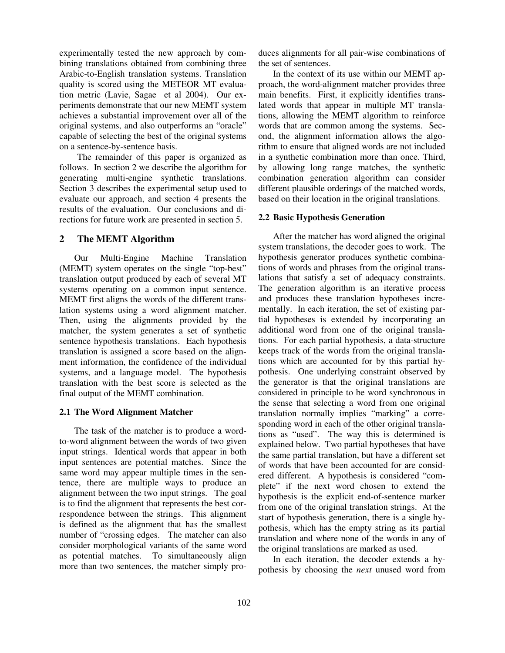experimentally tested the new approach by combining translations obtained from combining three Arabic-to-English translation systems. Translation quality is scored using the METEOR MT evaluation metric (Lavie, Sagae et al 2004). Our experiments demonstrate that our new MEMT system achieves a substantial improvement over all of the original systems, and also outperforms an "oracle" capable of selecting the best of the original systems on a sentence-by-sentence basis.

The remainder of this paper is organized as follows. In section 2 we describe the algorithm for generating multi-engine synthetic translations. Section 3 describes the experimental setup used to evaluate our approach, and section 4 presents the results of the evaluation. Our conclusions and directions for future work are presented in section 5.

## **2 The MEMT Algorithm**

Our Multi-Engine Machine Translation (MEMT) system operates on the single "top-best" translation output produced by each of several MT systems operating on a common input sentence. MEMT first aligns the words of the different translation systems using a word alignment matcher. Then, using the alignments provided by the matcher, the system generates a set of synthetic sentence hypothesis translations. Each hypothesis translation is assigned a score based on the alignment information, the confidence of the individual systems, and a language model. The hypothesis translation with the best score is selected as the final output of the MEMT combination.

## **2.1 The Word Alignment Matcher**

The task of the matcher is to produce a wordto-word alignment between the words of two given input strings. Identical words that appear in both input sentences are potential matches. Since the same word may appear multiple times in the sentence, there are multiple ways to produce an alignment between the two input strings. The goal is to find the alignment that represents the best correspondence between the strings. This alignment is defined as the alignment that has the smallest number of "crossing edges. The matcher can also consider morphological variants of the same word as potential matches. To simultaneously align more than two sentences, the matcher simply produces alignments for all pair-wise combinations of the set of sentences.

In the context of its use within our MEMT approach, the word-alignment matcher provides three main benefits. First, it explicitly identifies translated words that appear in multiple MT translations, allowing the MEMT algorithm to reinforce words that are common among the systems. Second, the alignment information allows the algorithm to ensure that aligned words are not included in a synthetic combination more than once. Third, by allowing long range matches, the synthetic combination generation algorithm can consider different plausible orderings of the matched words, based on their location in the original translations.

## **2.2 Basic Hypothesis Generation**

After the matcher has word aligned the original system translations, the decoder goes to work. The hypothesis generator produces synthetic combinations of words and phrases from the original translations that satisfy a set of adequacy constraints. The generation algorithm is an iterative process and produces these translation hypotheses incrementally. In each iteration, the set of existing partial hypotheses is extended by incorporating an additional word from one of the original translations. For each partial hypothesis, a data-structure keeps track of the words from the original translations which are accounted for by this partial hypothesis. One underlying constraint observed by the generator is that the original translations are considered in principle to be word synchronous in the sense that selecting a word from one original translation normally implies "marking" a corresponding word in each of the other original translations as "used". The way this is determined is explained below. Two partial hypotheses that have the same partial translation, but have a different set of words that have been accounted for are considered different. A hypothesis is considered "complete" if the next word chosen to extend the hypothesis is the explicit end-of-sentence marker from one of the original translation strings. At the start of hypothesis generation, there is a single hypothesis, which has the empty string as its partial translation and where none of the words in any of the original translations are marked as used.

In each iteration, the decoder extends a hypothesis by choosing the *next* unused word from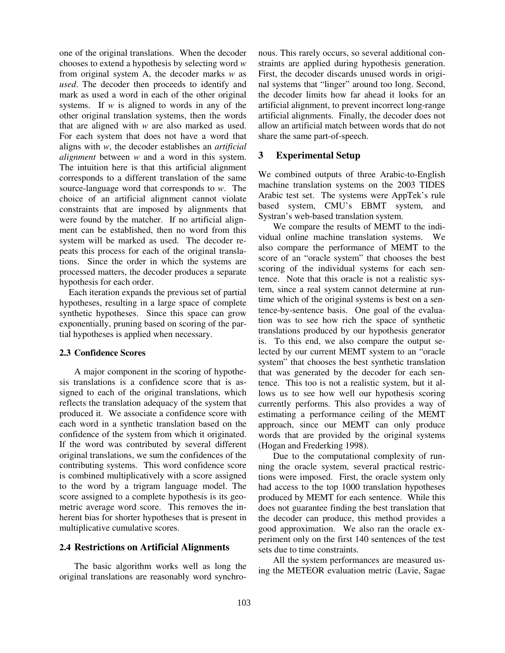one of the original translations. When the decoder chooses to extend a hypothesis by selecting word *w* from original system A, the decoder marks *w* as *used*. The decoder then proceeds to identify and mark as used a word in each of the other original systems. If *w* is aligned to words in any of the other original translation systems, then the words that are aligned with *w* are also marked as used. For each system that does not have a word that aligns with *w*, the decoder establishes an *artificial alignment* between *w* and a word in this system. The intuition here is that this artificial alignment corresponds to a different translation of the same source-language word that corresponds to *w*. The choice of an artificial alignment cannot violate constraints that are imposed by alignments that were found by the matcher. If no artificial alignment can be established, then no word from this system will be marked as used. The decoder repeats this process for each of the original translations. Since the order in which the systems are processed matters, the decoder produces a separate hypothesis for each order.

Each iteration expands the previous set of partial hypotheses, resulting in a large space of complete synthetic hypotheses. Since this space can grow exponentially, pruning based on scoring of the partial hypotheses is applied when necessary.

## **2.3 Confidence Scores**

A major component in the scoring of hypothesis translations is a confidence score that is assigned to each of the original translations, which reflects the translation adequacy of the system that produced it. We associate a confidence score with each word in a synthetic translation based on the confidence of the system from which it originated. If the word was contributed by several different original translations, we sum the confidences of the contributing systems. This word confidence score is combined multiplicatively with a score assigned to the word by a trigram language model. The score assigned to a complete hypothesis is its geometric average word score. This removes the inherent bias for shorter hypotheses that is present in multiplicative cumulative scores.

## **2.4 Restrictions on Artificial Alignments**

The basic algorithm works well as long the original translations are reasonably word synchronous. This rarely occurs, so several additional constraints are applied during hypothesis generation. First, the decoder discards unused words in original systems that "linger" around too long. Second, the decoder limits how far ahead it looks for an artificial alignment, to prevent incorrect long-range artificial alignments. Finally, the decoder does not allow an artificial match between words that do not share the same part-of-speech.

# **3 Experimental Setup**

We combined outputs of three Arabic-to-English machine translation systems on the 2003 TIDES Arabic test set. The systems were AppTek's rule based system, CMU's EBMT system, and Systran's web-based translation system.

We compare the results of MEMT to the individual online machine translation systems. We also compare the performance of MEMT to the score of an "oracle system" that chooses the best scoring of the individual systems for each sentence. Note that this oracle is not a realistic system, since a real system cannot determine at runtime which of the original systems is best on a sentence-by-sentence basis. One goal of the evaluation was to see how rich the space of synthetic translations produced by our hypothesis generator is. To this end, we also compare the output selected by our current MEMT system to an "oracle system" that chooses the best synthetic translation that was generated by the decoder for each sentence. This too is not a realistic system, but it allows us to see how well our hypothesis scoring currently performs. This also provides a way of estimating a performance ceiling of the MEMT approach, since our MEMT can only produce words that are provided by the original systems (Hogan and Frederking 1998).

Due to the computational complexity of running the oracle system, several practical restrictions were imposed. First, the oracle system only had access to the top 1000 translation hypotheses produced by MEMT for each sentence. While this does not guarantee finding the best translation that the decoder can produce, this method provides a good approximation. We also ran the oracle experiment only on the first 140 sentences of the test sets due to time constraints.

All the system performances are measured using the METEOR evaluation metric (Lavie, Sagae